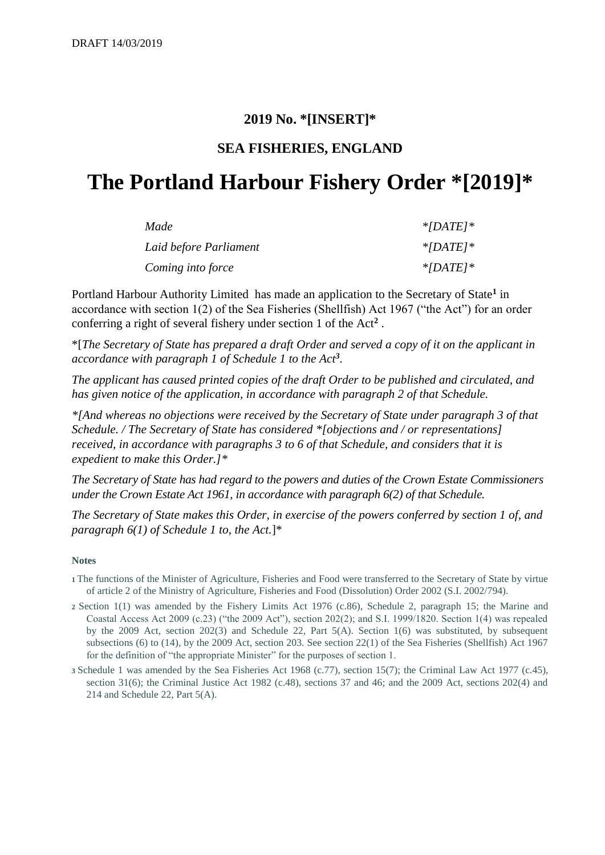# **2019 No. \*[INSERT]\***

# **SEA FISHERIES, ENGLAND**

# **The Portland Harbour Fishery Order \*[2019]\***

| Made                   | $*$ [DATE] $*$ |
|------------------------|----------------|
| Laid before Parliament | $*$ [DATE] $*$ |
| Coming into force      | $*[DATE] *$    |

Portland Harbour Authority Limited has made an application to the Secretary of State<sup>1</sup> in accordance with section 1(2) of the Sea Fisheries (Shellfish) Act 1967 ("the Act") for an order conferring a right of several fishery under section 1 of the Act**<sup>2</sup>** .

\*[*The Secretary of State has prepared a draft Order and served a copy of it on the applicant in accordance with paragraph 1 of Schedule 1 to the Act<sup>3</sup> .*

*The applicant has caused printed copies of the draft Order to be published and circulated, and has given notice of the application, in accordance with paragraph 2 of that Schedule.*

*\*[And whereas no objections were received by the Secretary of State under paragraph 3 of that Schedule. / The Secretary of State has considered \*[objections and / or representations] received, in accordance with paragraphs 3 to 6 of that Schedule, and considers that it is expedient to make this Order.]\**

*The Secretary of State has had regard to the powers and duties of the Crown Estate Commissioners under the Crown Estate Act 1961, in accordance with paragraph 6(2) of that Schedule.*

*The Secretary of State makes this Order, in exercise of the powers conferred by section 1 of, and paragraph 6(1) of Schedule 1 to, the Act.*]\*

#### **Notes**

- **<sup>1</sup>**The functions of the Minister of Agriculture, Fisheries and Food were transferred to the Secretary of State by virtue of article 2 of the Ministry of Agriculture, Fisheries and Food (Dissolution) Order 2002 (S.I. 2002/794).
- **<sup>2</sup>**Section 1(1) was amended by the Fishery Limits Act 1976 (c.86), Schedule 2, paragraph 15; the Marine and Coastal Access Act 2009 (c.23) ("the 2009 Act"), section 202(2); and S.I. 1999/1820. Section 1(4) was repealed by the 2009 Act, section 202(3) and Schedule 22, Part 5(A). Section 1(6) was substituted, by subsequent subsections (6) to (14), by the 2009 Act, section 203. See section 22(1) of the Sea Fisheries (Shellfish) Act 1967 for the definition of "the appropriate Minister" for the purposes of section 1.
- **<sup>3</sup>**Schedule 1 was amended by the Sea Fisheries Act 1968 (c.77), section 15(7); the Criminal Law Act 1977 (c.45), section 31(6); the Criminal Justice Act 1982 (c.48), sections 37 and 46; and the 2009 Act, sections 202(4) and 214 and Schedule 22, Part 5(A).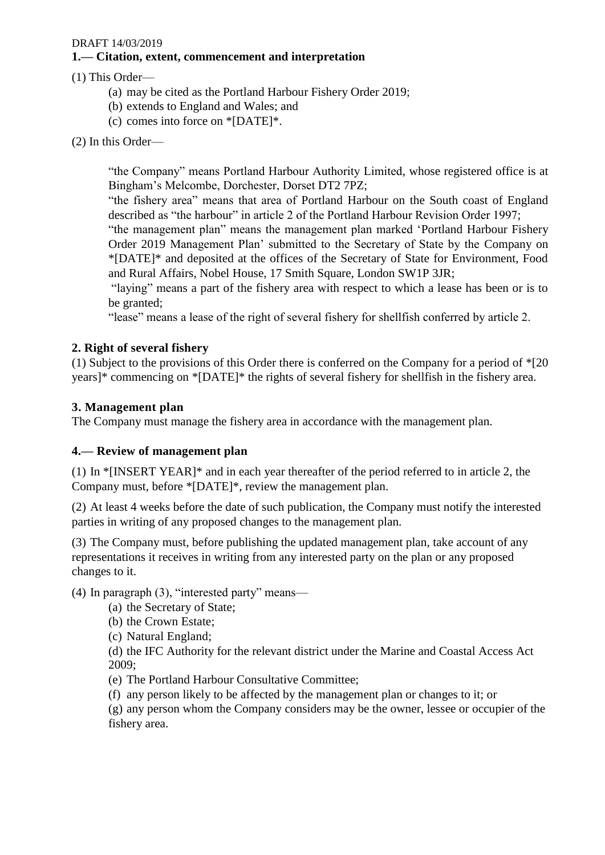#### **1.— Citation, extent, commencement and interpretation**

#### (1) This Order—

- (a) may be cited as the Portland Harbour Fishery Order 2019;
- (b) extends to England and Wales; and
- (c) comes into force on \*[DATE]\*.
- (2) In this Order—

"the Company" means Portland Harbour Authority Limited, whose registered office is at Bingham's Melcombe, Dorchester, Dorset DT2 7PZ;

"the fishery area" means that area of Portland Harbour on the South coast of England described as "the harbour" in article 2 of the Portland Harbour Revision Order 1997;

"the management plan" means the management plan marked 'Portland Harbour Fishery Order 2019 Management Plan' submitted to the Secretary of State by the Company on \*[DATE]\* and deposited at the offices of the Secretary of State for Environment, Food and Rural Affairs, Nobel House, 17 Smith Square, London SW1P 3JR;

"laying" means a part of the fishery area with respect to which a lease has been or is to be granted;

"lease" means a lease of the right of several fishery for shellfish conferred by article 2.

#### **2. Right of several fishery**

(1) Subject to the provisions of this Order there is conferred on the Company for a period of \*[20 years]\* commencing on \*[DATE]\* the rights of several fishery for shellfish in the fishery area.

#### **3. Management plan**

The Company must manage the fishery area in accordance with the management plan.

#### **4.— Review of management plan**

(1) In \*[INSERT YEAR]\* and in each year thereafter of the period referred to in article 2, the Company must, before \*[DATE]\*, review the management plan.

(2) At least 4 weeks before the date of such publication, the Company must notify the interested parties in writing of any proposed changes to the management plan.

(3) The Company must, before publishing the updated management plan, take account of any representations it receives in writing from any interested party on the plan or any proposed changes to it.

(4) In paragraph (3), "interested party" means—

- (a) the Secretary of State;
- (b) the Crown Estate;
- (c) Natural England;

(d) the IFC Authority for the relevant district under the Marine and Coastal Access Act 2009;

(e) The Portland Harbour Consultative Committee;

(f) any person likely to be affected by the management plan or changes to it; or

(g) any person whom the Company considers may be the owner, lessee or occupier of the fishery area.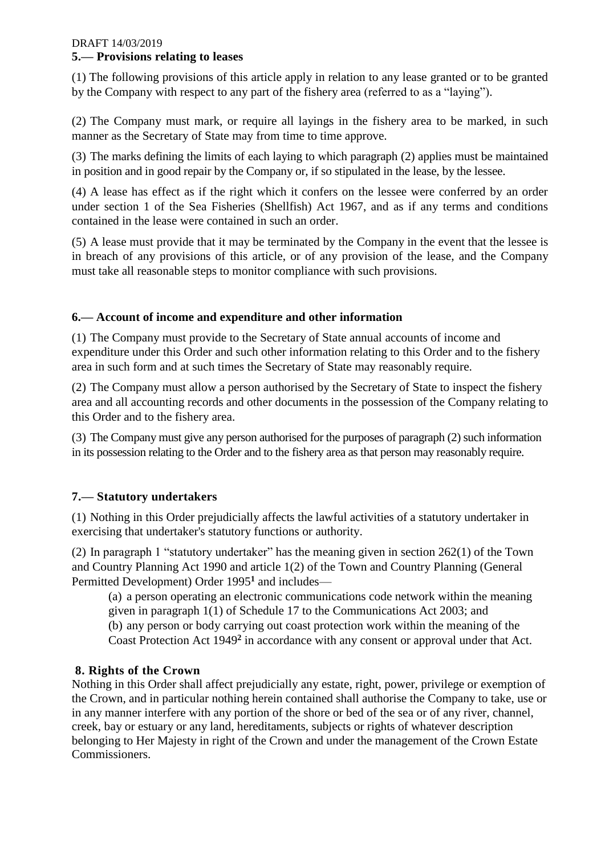#### DRAFT 14/03/2019 **5.— Provisions relating to leases**

(1) The following provisions of this article apply in relation to any lease granted or to be granted by the Company with respect to any part of the fishery area (referred to as a "laying").

(2) The Company must mark, or require all layings in the fishery area to be marked, in such manner as the Secretary of State may from time to time approve.

(3) The marks defining the limits of each laying to which paragraph (2) applies must be maintained in position and in good repair by the Company or, if so stipulated in the lease, by the lessee.

(4) A lease has effect as if the right which it confers on the lessee were conferred by an order under section 1 of the Sea Fisheries (Shellfish) Act 1967, and as if any terms and conditions contained in the lease were contained in such an order.

(5) A lease must provide that it may be terminated by the Company in the event that the lessee is in breach of any provisions of this article, or of any provision of the lease, and the Company must take all reasonable steps to monitor compliance with such provisions.

## **6.— Account of income and expenditure and other information**

(1) The Company must provide to the Secretary of State annual accounts of income and expenditure under this Order and such other information relating to this Order and to the fishery area in such form and at such times the Secretary of State may reasonably require.

(2) The Company must allow a person authorised by the Secretary of State to inspect the fishery area and all accounting records and other documents in the possession of the Company relating to this Order and to the fishery area.

(3) The Company must give any person authorised for the purposes of paragraph (2) such information in its possession relating to the Order and to the fishery area as that person may reasonably require.

## **7.— Statutory undertakers**

(1) Nothing in this Order prejudicially affects the lawful activities of a statutory undertaker in exercising that undertaker's statutory functions or authority.

(2) In paragraph 1 "statutory undertaker" has the meaning given in section 262(1) of the Town and Country Planning Act 1990 and article 1(2) of the Town and Country Planning (General Permitted Development) Order 1995**<sup>1</sup>** and includes—

(a) a person operating an electronic communications code network within the meaning given in paragraph 1(1) of Schedule 17 to the Communications Act 2003; and (b) any person or body carrying out coast protection work within the meaning of the Coast Protection Act 1949**<sup>2</sup>** in accordance with any consent or approval under that Act.

## **8. Rights of the Crown**

Nothing in this Order shall affect prejudicially any estate, right, power, privilege or exemption of the Crown, and in particular nothing herein contained shall authorise the Company to take, use or in any manner interfere with any portion of the shore or bed of the sea or of any river, channel, creek, bay or estuary or any land, hereditaments, subjects or rights of whatever description belonging to Her Majesty in right of the Crown and under the management of the Crown Estate Commissioners.